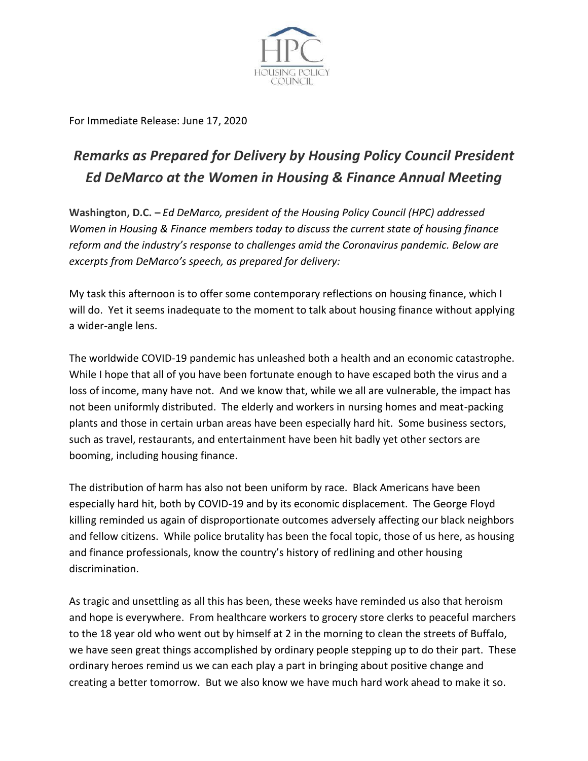

For Immediate Release: June 17, 2020

## *Remarks as Prepared for Delivery by Housing Policy Council President Ed DeMarco at the Women in Housing & Finance Annual Meeting*

**Washington, D.C. –** *Ed DeMarco, president of the Housing Policy Council (HPC) addressed Women in Housing & Finance members today to discuss the current state of housing finance reform and the industry's response to challenges amid the Coronavirus pandemic. Below are excerpts from DeMarco's speech, as prepared for delivery:*

My task this afternoon is to offer some contemporary reflections on housing finance, which I will do. Yet it seems inadequate to the moment to talk about housing finance without applying a wider-angle lens.

The worldwide COVID-19 pandemic has unleashed both a health and an economic catastrophe. While I hope that all of you have been fortunate enough to have escaped both the virus and a loss of income, many have not. And we know that, while we all are vulnerable, the impact has not been uniformly distributed. The elderly and workers in nursing homes and meat-packing plants and those in certain urban areas have been especially hard hit. Some business sectors, such as travel, restaurants, and entertainment have been hit badly yet other sectors are booming, including housing finance.

The distribution of harm has also not been uniform by race. Black Americans have been especially hard hit, both by COVID-19 and by its economic displacement. The George Floyd killing reminded us again of disproportionate outcomes adversely affecting our black neighbors and fellow citizens. While police brutality has been the focal topic, those of us here, as housing and finance professionals, know the country's history of redlining and other housing discrimination.

As tragic and unsettling as all this has been, these weeks have reminded us also that heroism and hope is everywhere. From healthcare workers to grocery store clerks to peaceful marchers to the 18 year old who went out by himself at 2 in the morning to clean the streets of Buffalo, we have seen great things accomplished by ordinary people stepping up to do their part. These ordinary heroes remind us we can each play a part in bringing about positive change and creating a better tomorrow. But we also know we have much hard work ahead to make it so.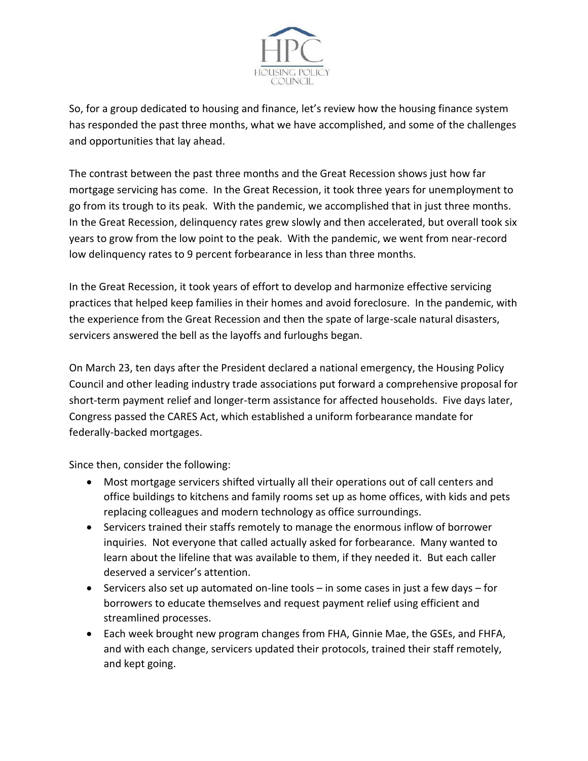

So, for a group dedicated to housing and finance, let's review how the housing finance system has responded the past three months, what we have accomplished, and some of the challenges and opportunities that lay ahead.

The contrast between the past three months and the Great Recession shows just how far mortgage servicing has come. In the Great Recession, it took three years for unemployment to go from its trough to its peak. With the pandemic, we accomplished that in just three months. In the Great Recession, delinquency rates grew slowly and then accelerated, but overall took six years to grow from the low point to the peak. With the pandemic, we went from near-record low delinquency rates to 9 percent forbearance in less than three months.

In the Great Recession, it took years of effort to develop and harmonize effective servicing practices that helped keep families in their homes and avoid foreclosure. In the pandemic, with the experience from the Great Recession and then the spate of large-scale natural disasters, servicers answered the bell as the layoffs and furloughs began.

On March 23, ten days after the President declared a national emergency, the Housing Policy Council and other leading industry trade associations put forward a comprehensive proposal for short-term payment relief and longer-term assistance for affected households. Five days later, Congress passed the CARES Act, which established a uniform forbearance mandate for federally-backed mortgages.

Since then, consider the following:

- Most mortgage servicers shifted virtually all their operations out of call centers and office buildings to kitchens and family rooms set up as home offices, with kids and pets replacing colleagues and modern technology as office surroundings.
- Servicers trained their staffs remotely to manage the enormous inflow of borrower inquiries. Not everyone that called actually asked for forbearance. Many wanted to learn about the lifeline that was available to them, if they needed it. But each caller deserved a servicer's attention.
- Servicers also set up automated on-line tools in some cases in just a few days for borrowers to educate themselves and request payment relief using efficient and streamlined processes.
- Each week brought new program changes from FHA, Ginnie Mae, the GSEs, and FHFA, and with each change, servicers updated their protocols, trained their staff remotely, and kept going.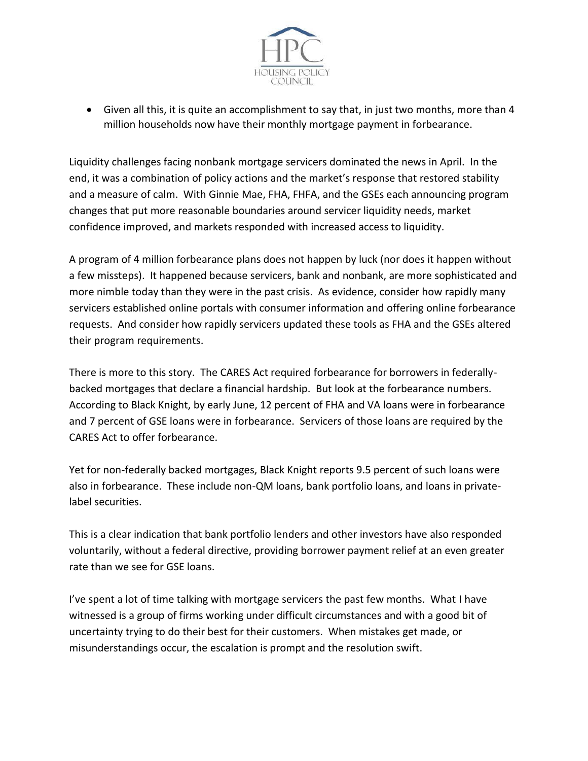

• Given all this, it is quite an accomplishment to say that, in just two months, more than 4 million households now have their monthly mortgage payment in forbearance.

Liquidity challenges facing nonbank mortgage servicers dominated the news in April. In the end, it was a combination of policy actions and the market's response that restored stability and a measure of calm. With Ginnie Mae, FHA, FHFA, and the GSEs each announcing program changes that put more reasonable boundaries around servicer liquidity needs, market confidence improved, and markets responded with increased access to liquidity.

A program of 4 million forbearance plans does not happen by luck (nor does it happen without a few missteps). It happened because servicers, bank and nonbank, are more sophisticated and more nimble today than they were in the past crisis. As evidence, consider how rapidly many servicers established online portals with consumer information and offering online forbearance requests. And consider how rapidly servicers updated these tools as FHA and the GSEs altered their program requirements.

There is more to this story. The CARES Act required forbearance for borrowers in federallybacked mortgages that declare a financial hardship. But look at the forbearance numbers. According to Black Knight, by early June, 12 percent of FHA and VA loans were in forbearance and 7 percent of GSE loans were in forbearance. Servicers of those loans are required by the CARES Act to offer forbearance.

Yet for non-federally backed mortgages, Black Knight reports 9.5 percent of such loans were also in forbearance. These include non-QM loans, bank portfolio loans, and loans in privatelabel securities.

This is a clear indication that bank portfolio lenders and other investors have also responded voluntarily, without a federal directive, providing borrower payment relief at an even greater rate than we see for GSE loans.

I've spent a lot of time talking with mortgage servicers the past few months. What I have witnessed is a group of firms working under difficult circumstances and with a good bit of uncertainty trying to do their best for their customers. When mistakes get made, or misunderstandings occur, the escalation is prompt and the resolution swift.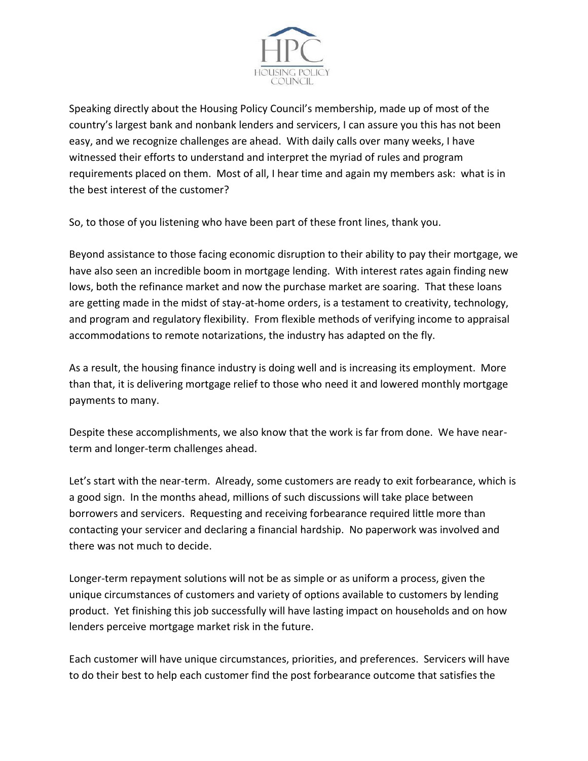

Speaking directly about the Housing Policy Council's membership, made up of most of the country's largest bank and nonbank lenders and servicers, I can assure you this has not been easy, and we recognize challenges are ahead. With daily calls over many weeks, I have witnessed their efforts to understand and interpret the myriad of rules and program requirements placed on them. Most of all, I hear time and again my members ask: what is in the best interest of the customer?

So, to those of you listening who have been part of these front lines, thank you.

Beyond assistance to those facing economic disruption to their ability to pay their mortgage, we have also seen an incredible boom in mortgage lending. With interest rates again finding new lows, both the refinance market and now the purchase market are soaring. That these loans are getting made in the midst of stay-at-home orders, is a testament to creativity, technology, and program and regulatory flexibility. From flexible methods of verifying income to appraisal accommodations to remote notarizations, the industry has adapted on the fly.

As a result, the housing finance industry is doing well and is increasing its employment. More than that, it is delivering mortgage relief to those who need it and lowered monthly mortgage payments to many.

Despite these accomplishments, we also know that the work is far from done. We have nearterm and longer-term challenges ahead.

Let's start with the near-term. Already, some customers are ready to exit forbearance, which is a good sign. In the months ahead, millions of such discussions will take place between borrowers and servicers. Requesting and receiving forbearance required little more than contacting your servicer and declaring a financial hardship. No paperwork was involved and there was not much to decide.

Longer-term repayment solutions will not be as simple or as uniform a process, given the unique circumstances of customers and variety of options available to customers by lending product. Yet finishing this job successfully will have lasting impact on households and on how lenders perceive mortgage market risk in the future.

Each customer will have unique circumstances, priorities, and preferences. Servicers will have to do their best to help each customer find the post forbearance outcome that satisfies the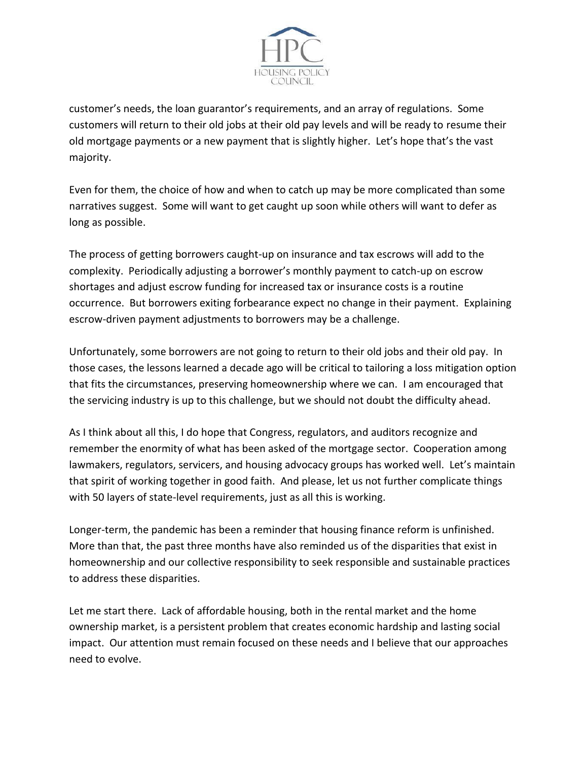

customer's needs, the loan guarantor's requirements, and an array of regulations. Some customers will return to their old jobs at their old pay levels and will be ready to resume their old mortgage payments or a new payment that is slightly higher. Let's hope that's the vast majority.

Even for them, the choice of how and when to catch up may be more complicated than some narratives suggest. Some will want to get caught up soon while others will want to defer as long as possible.

The process of getting borrowers caught-up on insurance and tax escrows will add to the complexity. Periodically adjusting a borrower's monthly payment to catch-up on escrow shortages and adjust escrow funding for increased tax or insurance costs is a routine occurrence. But borrowers exiting forbearance expect no change in their payment. Explaining escrow-driven payment adjustments to borrowers may be a challenge.

Unfortunately, some borrowers are not going to return to their old jobs and their old pay. In those cases, the lessons learned a decade ago will be critical to tailoring a loss mitigation option that fits the circumstances, preserving homeownership where we can. I am encouraged that the servicing industry is up to this challenge, but we should not doubt the difficulty ahead.

As I think about all this, I do hope that Congress, regulators, and auditors recognize and remember the enormity of what has been asked of the mortgage sector. Cooperation among lawmakers, regulators, servicers, and housing advocacy groups has worked well. Let's maintain that spirit of working together in good faith. And please, let us not further complicate things with 50 layers of state-level requirements, just as all this is working.

Longer-term, the pandemic has been a reminder that housing finance reform is unfinished. More than that, the past three months have also reminded us of the disparities that exist in homeownership and our collective responsibility to seek responsible and sustainable practices to address these disparities.

Let me start there. Lack of affordable housing, both in the rental market and the home ownership market, is a persistent problem that creates economic hardship and lasting social impact. Our attention must remain focused on these needs and I believe that our approaches need to evolve.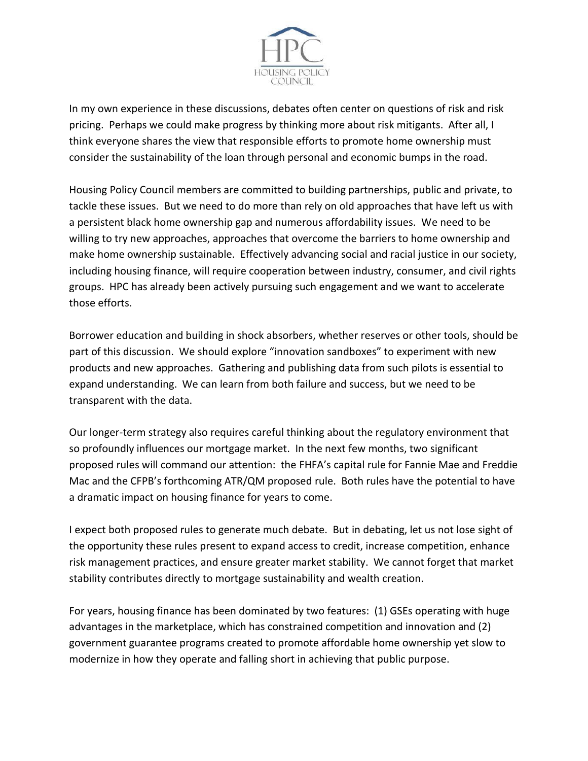

In my own experience in these discussions, debates often center on questions of risk and risk pricing. Perhaps we could make progress by thinking more about risk mitigants. After all, I think everyone shares the view that responsible efforts to promote home ownership must consider the sustainability of the loan through personal and economic bumps in the road.

Housing Policy Council members are committed to building partnerships, public and private, to tackle these issues. But we need to do more than rely on old approaches that have left us with a persistent black home ownership gap and numerous affordability issues. We need to be willing to try new approaches, approaches that overcome the barriers to home ownership and make home ownership sustainable. Effectively advancing social and racial justice in our society, including housing finance, will require cooperation between industry, consumer, and civil rights groups. HPC has already been actively pursuing such engagement and we want to accelerate those efforts.

Borrower education and building in shock absorbers, whether reserves or other tools, should be part of this discussion. We should explore "innovation sandboxes" to experiment with new products and new approaches. Gathering and publishing data from such pilots is essential to expand understanding. We can learn from both failure and success, but we need to be transparent with the data.

Our longer-term strategy also requires careful thinking about the regulatory environment that so profoundly influences our mortgage market. In the next few months, two significant proposed rules will command our attention: the FHFA's capital rule for Fannie Mae and Freddie Mac and the CFPB's forthcoming ATR/QM proposed rule. Both rules have the potential to have a dramatic impact on housing finance for years to come.

I expect both proposed rules to generate much debate. But in debating, let us not lose sight of the opportunity these rules present to expand access to credit, increase competition, enhance risk management practices, and ensure greater market stability. We cannot forget that market stability contributes directly to mortgage sustainability and wealth creation.

For years, housing finance has been dominated by two features: (1) GSEs operating with huge advantages in the marketplace, which has constrained competition and innovation and (2) government guarantee programs created to promote affordable home ownership yet slow to modernize in how they operate and falling short in achieving that public purpose.